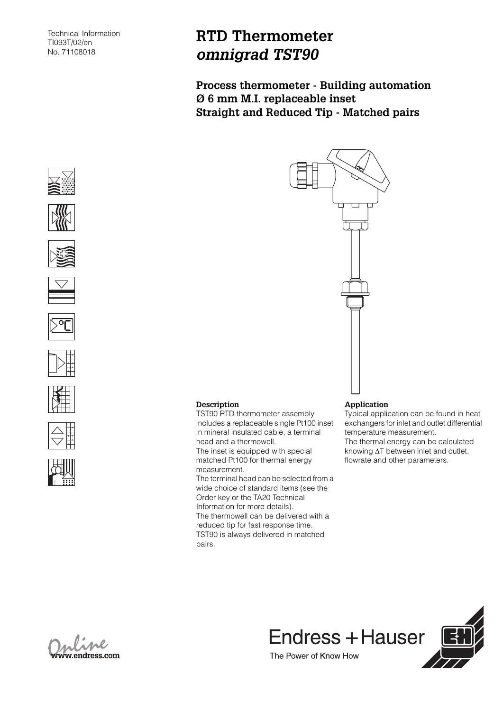## **RTD Thermometer** *omnigrad TST90*

**Description**

measurement.

pairs.

TST90 RTD thermometer assembly includes a replaceable single Pt100 inset in mineral insulated cable, a terminal

The inset is equipped with special matched Pt100 for thermal energy

The terminal head can be selected from a wide choice of standard items (see the Order key or the TA20 Technical Information for more details).

The thermowell can be delivered with a reduced tip for fast response time. TST90 is always delivered in matched

head and a thermowell.

**Process thermometer - Building automation Ø 6 mm M.I. replaceable inset Straight and Reduced Tip - Matched pairs**





















Typical application can be found in heat exchangers for inlet and outlet differential temperature measurement. The thermal energy can be calculated knowing ΔT between inlet and outlet, flowrate and other parameters.



Endress + Hauser The Power of Know How

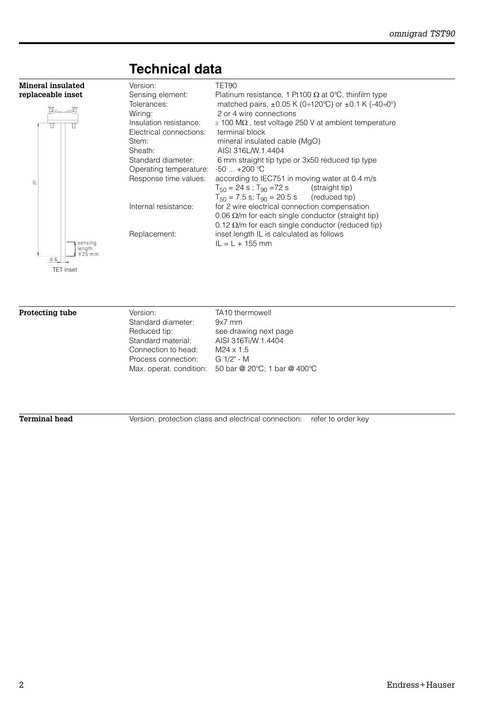

## **Technical data**

IL

**Protecting tube Version:** TA10 thermowell Standard diameter: 9x7 mm Reduced tip: see drawing next page Standard material: AISI 316Ti/W.1.4404 Connection to head: M24 x 1.5 Process connection: G 1/2" - M Max. operat. condition: 50 bar @ 20°C; 1 bar @ 400°C

**Terminal head** Version, protection class and electrical connection: refer to order key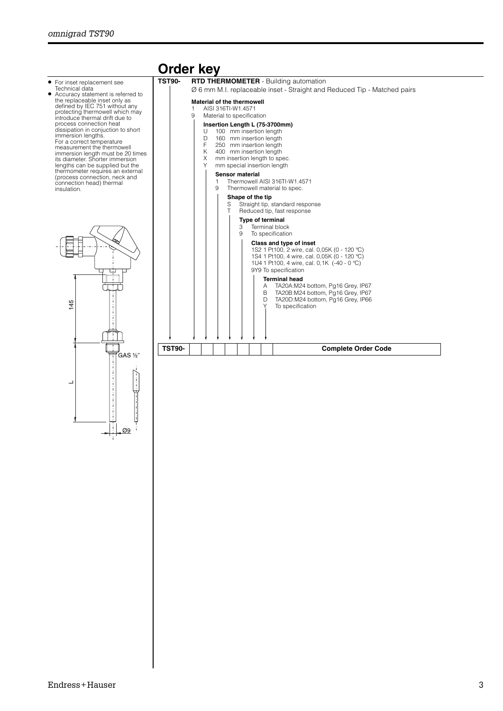